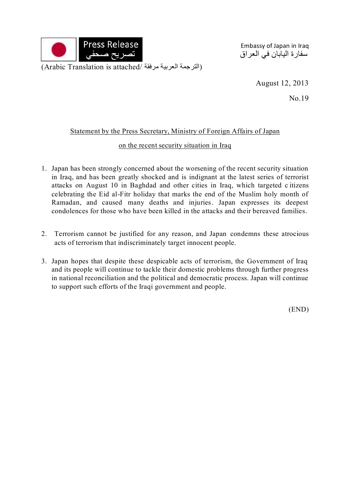

Embassy of Japan in Iraq سفارة اليابان في العراق

(الترجمة العربية مرفقة /Arabic Translation is attached)

August 12, 2013

No.19

## Statement by the Press Secretary, Ministry of Foreign Affairs of Japan

## on the recent security situation in Iraq

- 1. Japan has been strongly concerned about the worsening of the recent security situation in Iraq, and has been greatly shocked and is indignant at the latest series of terrorist attacks on August 10 in Baghdad and other cities in Iraq, which targeted c itizens celebrating the Eid al-Fitr holiday that marks the end of the Muslim holy month of Ramadan, and caused many deaths and injuries. Japan expresses its deepest condolences for those who have been killed in the attacks and their bereaved families.
- 2. Terrorism cannot be justified for any reason, and Japan condemns these atrocious acts of terrorism that indiscriminately target innocent people.
- 3. Japan hopes that despite these despicable acts of terrorism, the Government of Iraq and its people will continue to tackle their domestic problems through further progress in national reconciliation and the political and democratic process. Japan will continue to support such efforts of the Iraqi government and people.

(END)